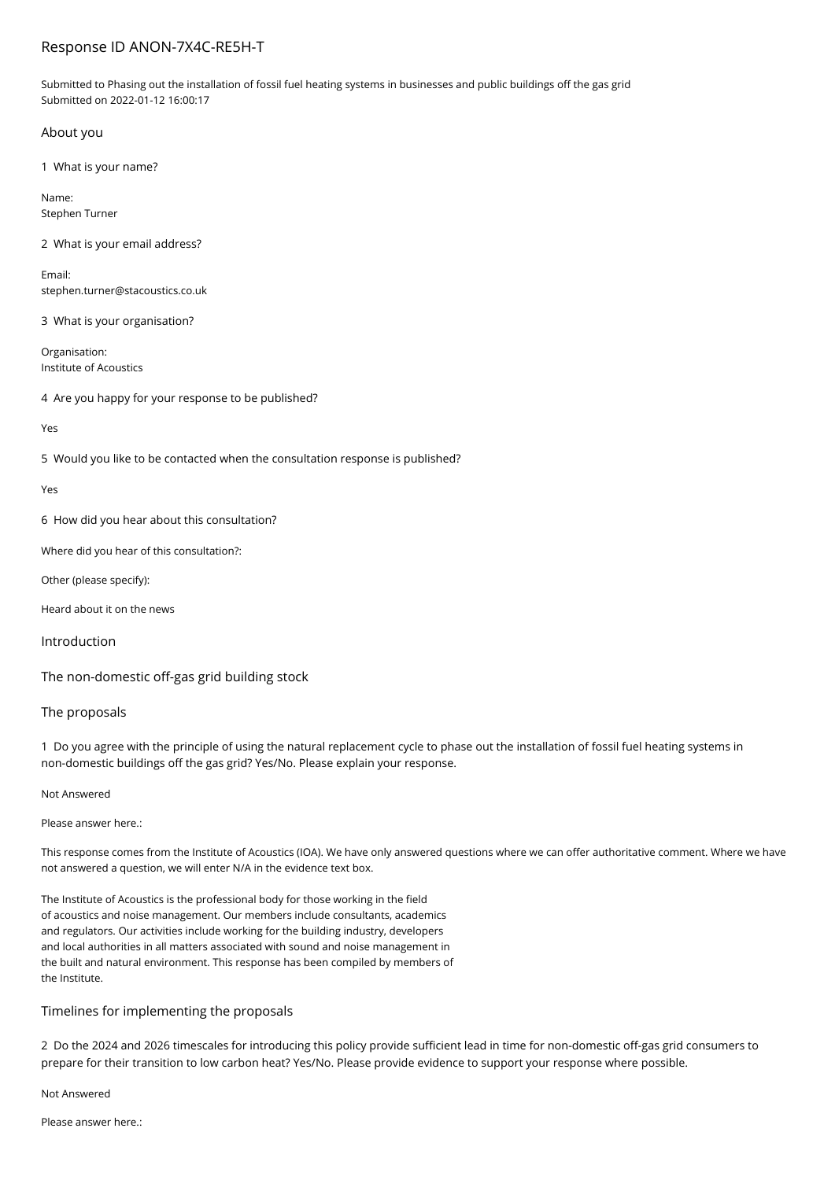# Response ID ANON-7X4C-RE5H-T

Submitted to Phasing out the installation of fossil fuel heating systems in businesses and public buildings off the gas grid Submitted on 2022-01-12 16:00:17

## About you

1 What is your name?

Name: Stephen Turner

2 What is your email address?

Email: stephen.turner@stacoustics.co.uk

3 What is your organisation?

Organisation: Institute of Acoustics

4 Are you happy for your response to be published?

Yes

5 Would you like to be contacted when the consultation response is published?

Yes

6 How did you hear about this consultation?

Where did you hear of this consultation?:

Other (please specify):

Heard about it on the news

Introduction

The non-domestic off-gas grid building stock

## The proposals

1 Do you agree with the principle of using the natural replacement cycle to phase out the installation of fossil fuel heating systems in non-domestic buildings off the gas grid? Yes/No. Please explain your response.

Not Answered

Please answer here.:

This response comes from the Institute of Acoustics (IOA). We have only answered questions where we can offer authoritative comment. Where we have not answered a question, we will enter N/A in the evidence text box.

The Institute of Acoustics is the professional body for those working in the field of acoustics and noise management. Our members include consultants, academics and regulators. Our activities include working for the building industry, developers and local authorities in all matters associated with sound and noise management in the built and natural environment. This response has been compiled by members of the Institute.

## Timelines for implementing the proposals

2 Do the 2024 and 2026 timescales for introducing this policy provide sufficient lead in time for non-domestic off-gas grid consumers to prepare for their transition to low carbon heat? Yes/No. Please provide evidence to support your response where possible.

### Not Answered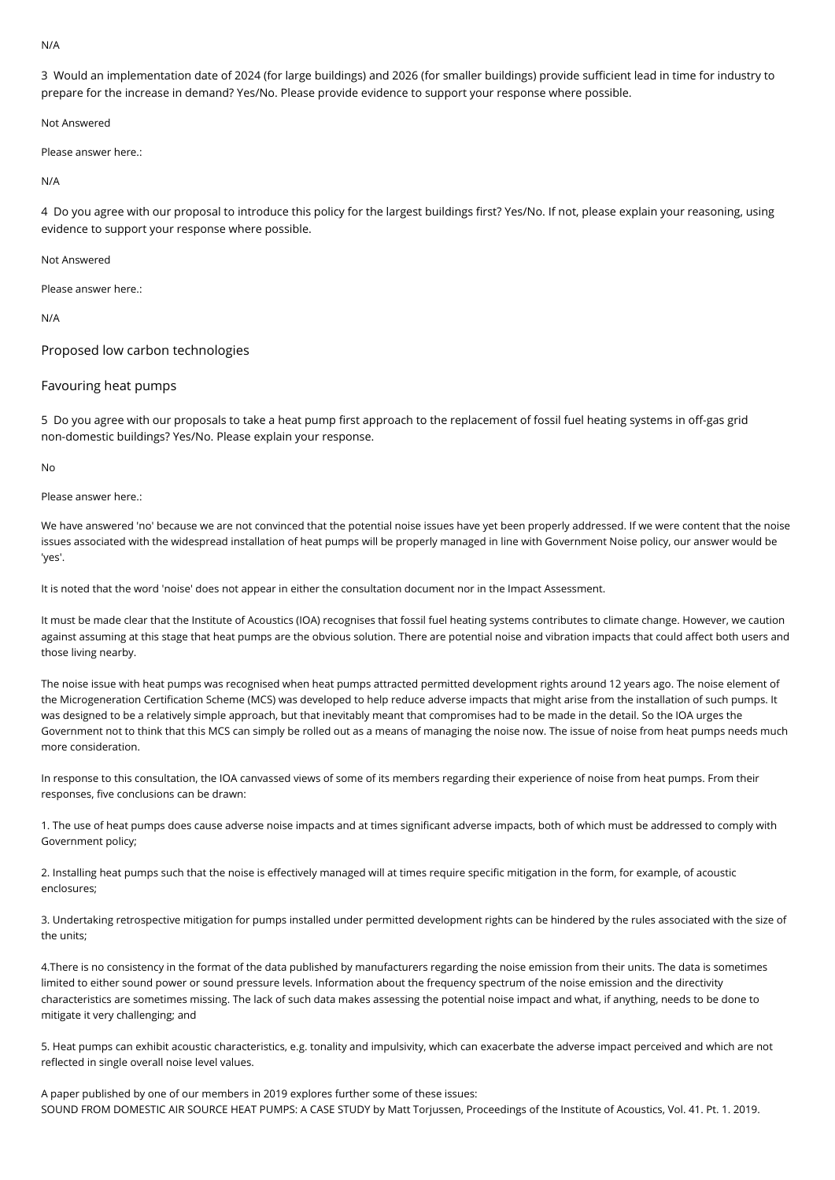#### N/A

3 Would an implementation date of 2024 (for large buildings) and 2026 (for smaller buildings) provide sufficient lead in time for industry to prepare for the increase in demand? Yes/No. Please provide evidence to support your response where possible.

Not Answered

Please answer here.:

N/A

4 Do you agree with our proposal to introduce this policy for the largest buildings first? Yes/No. If not, please explain your reasoning, using evidence to support your response where possible.

Not Answered

Please answer here.

N/A

Proposed low carbon technologies

### Favouring heat pumps

5 Do you agree with our proposals to take a heat pump first approach to the replacement of fossil fuel heating systems in off-gas grid non-domestic buildings? Yes/No. Please explain your response.

No

Please answer here.:

We have answered 'no' because we are not convinced that the potential noise issues have yet been properly addressed. If we were content that the noise issues associated with the widespread installation of heat pumps will be properly managed in line with Government Noise policy, our answer would be 'yes'.

It is noted that the word 'noise' does not appear in either the consultation document nor in the Impact Assessment.

It must be made clear that the Institute of Acoustics (IOA) recognises that fossil fuel heating systems contributes to climate change. However, we caution against assuming at this stage that heat pumps are the obvious solution. There are potential noise and vibration impacts that could affect both users and those living nearby.

The noise issue with heat pumps was recognised when heat pumps attracted permitted development rights around 12 years ago. The noise element of the Microgeneration Certification Scheme (MCS) was developed to help reduce adverse impacts that might arise from the installation of such pumps. It was designed to be a relatively simple approach, but that inevitably meant that compromises had to be made in the detail. So the IOA urges the Government not to think that this MCS can simply be rolled out as a means of managing the noise now. The issue of noise from heat pumps needs much more consideration.

In response to this consultation, the IOA canvassed views of some of its members regarding their experience of noise from heat pumps. From their responses, five conclusions can be drawn:

1. The use of heat pumps does cause adverse noise impacts and at times significant adverse impacts, both of which must be addressed to comply with Government policy;

2. Installing heat pumps such that the noise is effectively managed will at times require specific mitigation in the form, for example, of acoustic enclosures;

3. Undertaking retrospective mitigation for pumps installed under permitted development rights can be hindered by the rules associated with the size of the units;

4.There is no consistency in the format of the data published by manufacturers regarding the noise emission from their units. The data is sometimes limited to either sound power or sound pressure levels. Information about the frequency spectrum of the noise emission and the directivity characteristics are sometimes missing. The lack of such data makes assessing the potential noise impact and what, if anything, needs to be done to mitigate it very challenging; and

5. Heat pumps can exhibit acoustic characteristics, e.g. tonality and impulsivity, which can exacerbate the adverse impact perceived and which are not reflected in single overall noise level values.

A paper published by one of our members in 2019 explores further some of these issues: SOUND FROM DOMESTIC AIR SOURCE HEAT PUMPS: A CASE STUDY by Matt Torjussen, Proceedings of the Institute of Acoustics, Vol. 41. Pt. 1. 2019.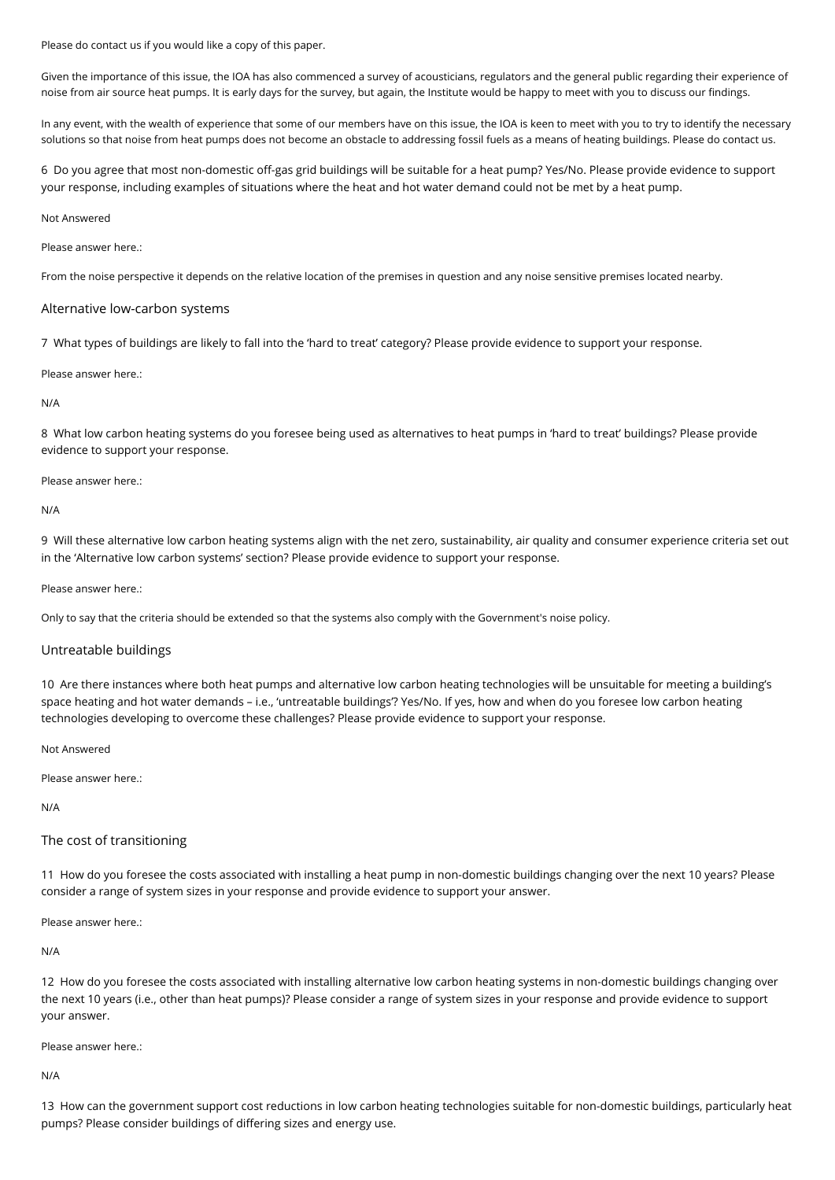Please do contact us if you would like a copy of this paper.

Given the importance of this issue, the IOA has also commenced a survey of acousticians, regulators and the general public regarding their experience of noise from air source heat pumps. It is early days for the survey, but again, the Institute would be happy to meet with you to discuss our findings.

In any event, with the wealth of experience that some of our members have on this issue, the IOA is keen to meet with you to try to identify the necessary solutions so that noise from heat pumps does not become an obstacle to addressing fossil fuels as a means of heating buildings. Please do contact us.

6 Do you agree that most non-domestic off-gas grid buildings will be suitable for a heat pump? Yes/No. Please provide evidence to support your response, including examples of situations where the heat and hot water demand could not be met by a heat pump.

#### Not Answered

Please answer here.:

From the noise perspective it depends on the relative location of the premises in question and any noise sensitive premises located nearby.

#### Alternative low-carbon systems

7 What types of buildings are likely to fall into the 'hard to treat' category? Please provide evidence to support your response.

Please answer here.:

#### N/A

8 What low carbon heating systems do you foresee being used as alternatives to heat pumps in 'hard to treat' buildings? Please provide evidence to support your response.

Please answer here.:

N/A

9 Will these alternative low carbon heating systems align with the net zero, sustainability, air quality and consumer experience criteria set out in the 'Alternative low carbon systems' section? Please provide evidence to support your response.

Please answer here.:

Only to say that the criteria should be extended so that the systems also comply with the Government's noise policy.

### Untreatable buildings

10 Are there instances where both heat pumps and alternative low carbon heating technologies will be unsuitable for meeting a building's space heating and hot water demands – i.e., 'untreatable buildings'? Yes/No. If yes, how and when do you foresee low carbon heating technologies developing to overcome these challenges? Please provide evidence to support your response.

Not Answered

Please answer here.:

N/A

## The cost of transitioning

11 How do you foresee the costs associated with installing a heat pump in non-domestic buildings changing over the next 10 years? Please consider a range of system sizes in your response and provide evidence to support your answer.

Please answer here.:

N/A

12 How do you foresee the costs associated with installing alternative low carbon heating systems in non-domestic buildings changing over the next 10 years (i.e., other than heat pumps)? Please consider a range of system sizes in your response and provide evidence to support your answer.

Please answer here.:

N/A

13 How can the government support cost reductions in low carbon heating technologies suitable for non-domestic buildings, particularly heat pumps? Please consider buildings of differing sizes and energy use.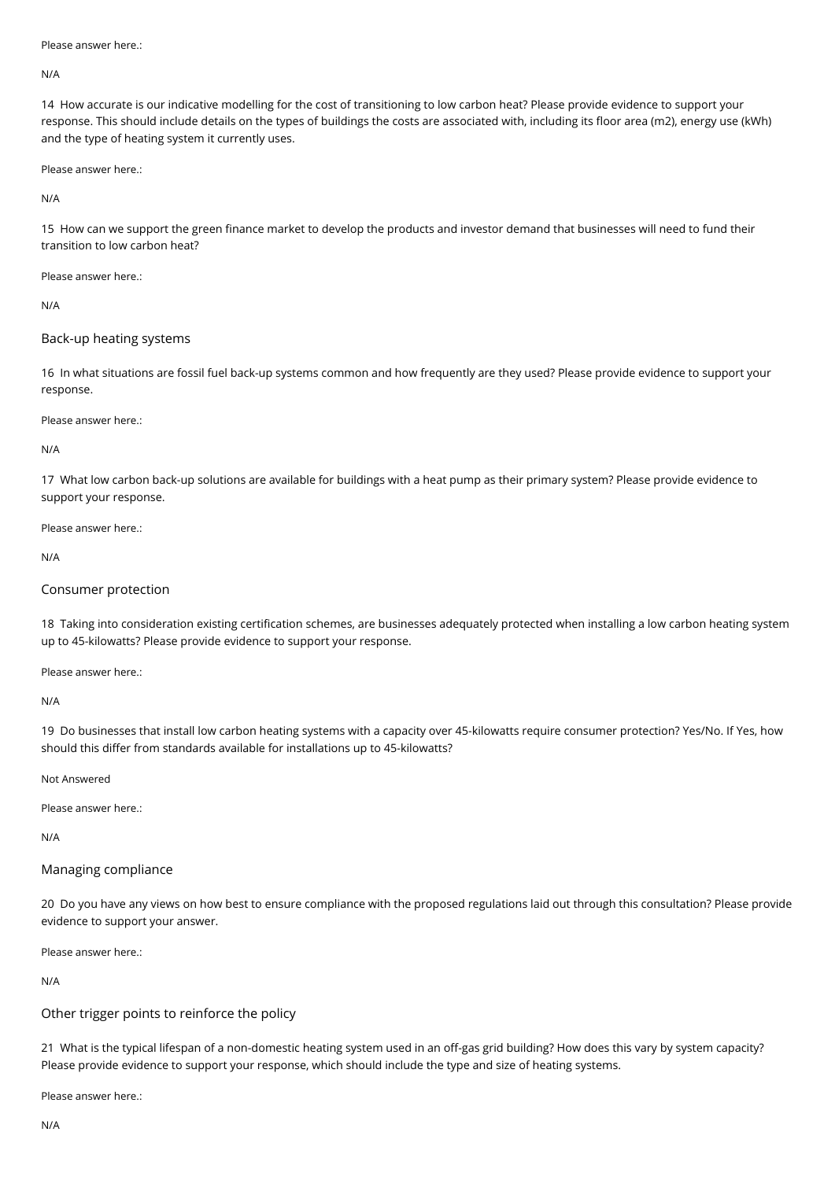### Please answer here.

N/A

14 How accurate is our indicative modelling for the cost of transitioning to low carbon heat? Please provide evidence to support your response. This should include details on the types of buildings the costs are associated with, including its floor area (m2), energy use (kWh) and the type of heating system it currently uses.

Please answer here.:

N/A

15 How can we support the green finance market to develop the products and investor demand that businesses will need to fund their transition to low carbon heat?

Please answer here.:

N/A

### Back-up heating systems

16 In what situations are fossil fuel back-up systems common and how frequently are they used? Please provide evidence to support your response.

Please answer here.:

N/A

17 What low carbon back-up solutions are available for buildings with a heat pump as their primary system? Please provide evidence to support your response.

Please answer here.:

N/A

## Consumer protection

18 Taking into consideration existing certification schemes, are businesses adequately protected when installing a low carbon heating system up to 45-kilowatts? Please provide evidence to support your response.

Please answer here.:

N/A

19 Do businesses that install low carbon heating systems with a capacity over 45-kilowatts require consumer protection? Yes/No. If Yes, how should this differ from standards available for installations up to 45-kilowatts?

Not Answered

Please answer here.:

N/A

## Managing compliance

20 Do you have any views on how best to ensure compliance with the proposed regulations laid out through this consultation? Please provide evidence to support your answer.

Please answer here.:

N/A

## Other trigger points to reinforce the policy

21 What is the typical lifespan of a non-domestic heating system used in an off-gas grid building? How does this vary by system capacity? Please provide evidence to support your response, which should include the type and size of heating systems.

Please answer here.: